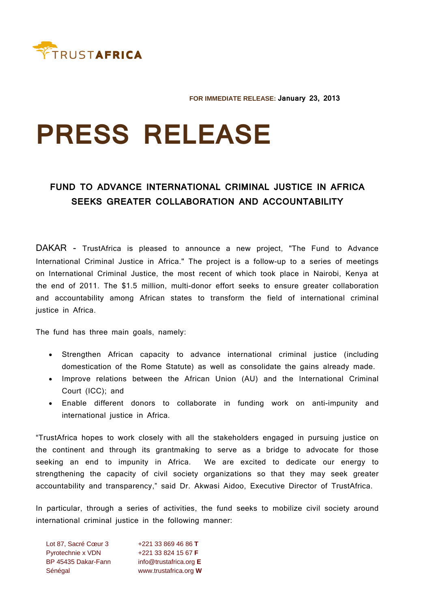

**FOR IMMEDIATE RELEASE: January 23, 2013**

## **PRESS RELEASE**

## **FUND TO ADVANCE INTERNATIONAL CRIMINAL JUSTICE IN AFRICA SEEKS GREATER COLLABORATION AND ACCOUNTABILITY**

DAKAR - TrustAfrica is pleased to announce a new project, "The Fund to Advance International Criminal Justice in Africa." The project is a follow-up to a series of meetings on International Criminal Justice, the most recent of which took place in Nairobi, Kenya at the end of 2011. The \$1.5 million, multi-donor effort seeks to ensure greater collaboration and accountability among African states to transform the field of international criminal justice in Africa.

The fund has three main goals, namely:

- Strengthen African capacity to advance international criminal justice (including domestication of the Rome Statute) as well as consolidate the gains already made.
- Improve relations between the African Union (AU) and the International Criminal Court (ICC); and
- Enable different donors to collaborate in funding work on anti-impunity and international justice in Africa.

"TrustAfrica hopes to work closely with all the stakeholders engaged in pursuing justice on the continent and through its grantmaking to serve as a bridge to advocate for those seeking an end to impunity in Africa. We are excited to dedicate our energy to strengthening the capacity of civil society organizations so that they may seek greater accountability and transparency," said Dr. Akwasi Aidoo, Executive Director of TrustAfrica.

In particular, through a series of activities, the fund seeks to mobilize civil society around international criminal justice in the following manner:

Lot 87, Sacré Cœur 3 +221 33 869 46 86 **T** Pyrotechnie x VDN +221 33 824 15 67 **F** BP 45435 Dakar-Fann info@trustafrica.org **E** Sénégal www.trustafrica.org **W**